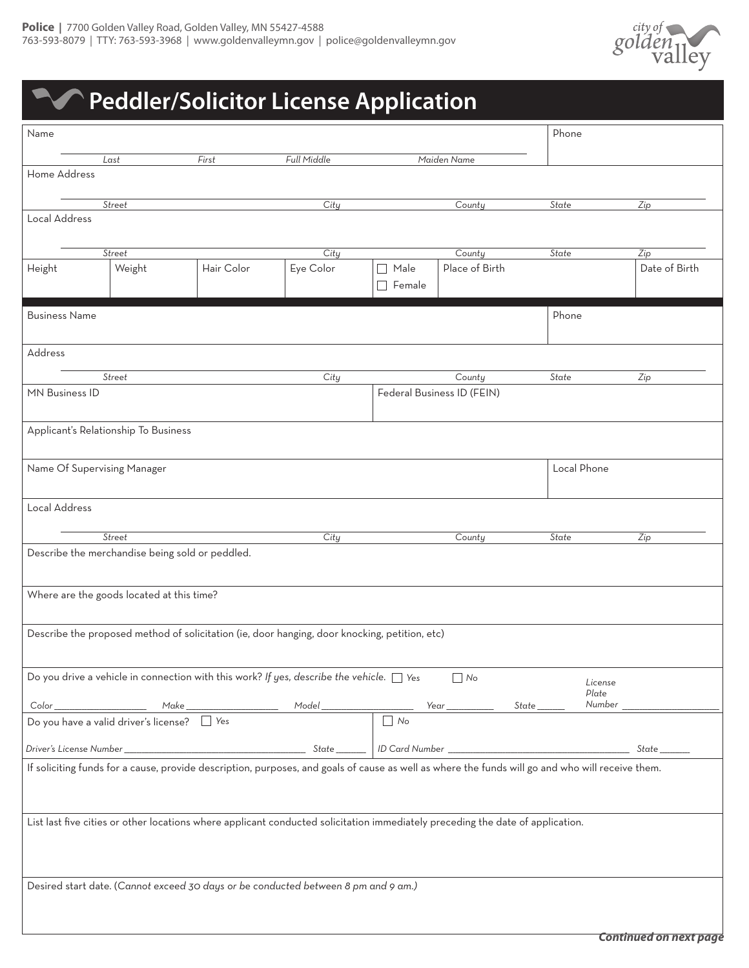

## **Peddler/Solicitor License Application**

| Name                                                                                                                                             |                                                 |            |                                                                                               |                    |                                      | Phone           |               |  |
|--------------------------------------------------------------------------------------------------------------------------------------------------|-------------------------------------------------|------------|-----------------------------------------------------------------------------------------------|--------------------|--------------------------------------|-----------------|---------------|--|
|                                                                                                                                                  | Last                                            | First      | Full Middle                                                                                   |                    | Maiden Name                          |                 |               |  |
| Home Address                                                                                                                                     |                                                 |            |                                                                                               |                    |                                      |                 |               |  |
|                                                                                                                                                  | <b>Street</b>                                   |            | City                                                                                          |                    | County                               | State           | Zip           |  |
| Local Address                                                                                                                                    |                                                 |            |                                                                                               |                    |                                      |                 |               |  |
|                                                                                                                                                  |                                                 |            |                                                                                               |                    |                                      |                 |               |  |
|                                                                                                                                                  | Street                                          |            | City                                                                                          |                    | County                               | State           | Zip           |  |
| Height                                                                                                                                           | Weight                                          | Hair Color | Eye Color                                                                                     | Male<br>П          | Place of Birth                       |                 | Date of Birth |  |
|                                                                                                                                                  |                                                 |            |                                                                                               | $\sqsupset$ Female |                                      |                 |               |  |
| <b>Business Name</b>                                                                                                                             |                                                 |            |                                                                                               |                    |                                      | Phone           |               |  |
|                                                                                                                                                  |                                                 |            |                                                                                               |                    |                                      |                 |               |  |
| Address                                                                                                                                          |                                                 |            |                                                                                               |                    |                                      |                 |               |  |
|                                                                                                                                                  |                                                 |            |                                                                                               |                    |                                      |                 |               |  |
| MN Business ID                                                                                                                                   | <b>Street</b>                                   |            | City                                                                                          |                    | County<br>Federal Business ID (FEIN) | State           | Zip           |  |
|                                                                                                                                                  |                                                 |            |                                                                                               |                    |                                      |                 |               |  |
|                                                                                                                                                  | Applicant's Relationship To Business            |            |                                                                                               |                    |                                      |                 |               |  |
|                                                                                                                                                  |                                                 |            |                                                                                               |                    |                                      |                 |               |  |
|                                                                                                                                                  |                                                 |            |                                                                                               |                    |                                      |                 |               |  |
| Name Of Supervising Manager                                                                                                                      |                                                 |            |                                                                                               |                    |                                      | Local Phone     |               |  |
|                                                                                                                                                  |                                                 |            |                                                                                               |                    |                                      |                 |               |  |
| Local Address                                                                                                                                    |                                                 |            |                                                                                               |                    |                                      |                 |               |  |
|                                                                                                                                                  | <b>Street</b>                                   |            | City                                                                                          |                    | County                               | State           | Zip           |  |
|                                                                                                                                                  | Describe the merchandise being sold or peddled. |            |                                                                                               |                    |                                      |                 |               |  |
|                                                                                                                                                  |                                                 |            |                                                                                               |                    |                                      |                 |               |  |
|                                                                                                                                                  |                                                 |            |                                                                                               |                    |                                      |                 |               |  |
|                                                                                                                                                  | Where are the goods located at this time?       |            |                                                                                               |                    |                                      |                 |               |  |
|                                                                                                                                                  |                                                 |            |                                                                                               |                    |                                      |                 |               |  |
|                                                                                                                                                  |                                                 |            | Describe the proposed method of solicitation (ie, door hanging, door knocking, petition, etc) |                    |                                      |                 |               |  |
|                                                                                                                                                  |                                                 |            |                                                                                               |                    |                                      |                 |               |  |
|                                                                                                                                                  |                                                 |            | Do you drive a vehicle in connection with this work? If yes, describe the vehicle. $\Box$ Yes |                    | $\Box$ No                            | License         |               |  |
|                                                                                                                                                  |                                                 |            |                                                                                               |                    | State ____                           | Plate<br>Number |               |  |
|                                                                                                                                                  |                                                 |            |                                                                                               |                    |                                      |                 |               |  |
|                                                                                                                                                  |                                                 |            |                                                                                               |                    |                                      |                 |               |  |
|                                                                                                                                                  |                                                 |            |                                                                                               |                    |                                      |                 |               |  |
| If soliciting funds for a cause, provide description, purposes, and goals of cause as well as where the funds will go and who will receive them. |                                                 |            |                                                                                               |                    |                                      |                 |               |  |
|                                                                                                                                                  |                                                 |            |                                                                                               |                    |                                      |                 |               |  |
|                                                                                                                                                  |                                                 |            |                                                                                               |                    |                                      |                 |               |  |
| List last five cities or other locations where applicant conducted solicitation immediately preceding the date of application.                   |                                                 |            |                                                                                               |                    |                                      |                 |               |  |
|                                                                                                                                                  |                                                 |            |                                                                                               |                    |                                      |                 |               |  |
|                                                                                                                                                  |                                                 |            |                                                                                               |                    |                                      |                 |               |  |
| Desired start date. (Cannot exceed 30 days or be conducted between 8 pm and 9 am.)                                                               |                                                 |            |                                                                                               |                    |                                      |                 |               |  |
|                                                                                                                                                  |                                                 |            |                                                                                               |                    |                                      |                 |               |  |
|                                                                                                                                                  |                                                 |            |                                                                                               |                    |                                      |                 |               |  |
|                                                                                                                                                  |                                                 |            |                                                                                               |                    |                                      |                 |               |  |